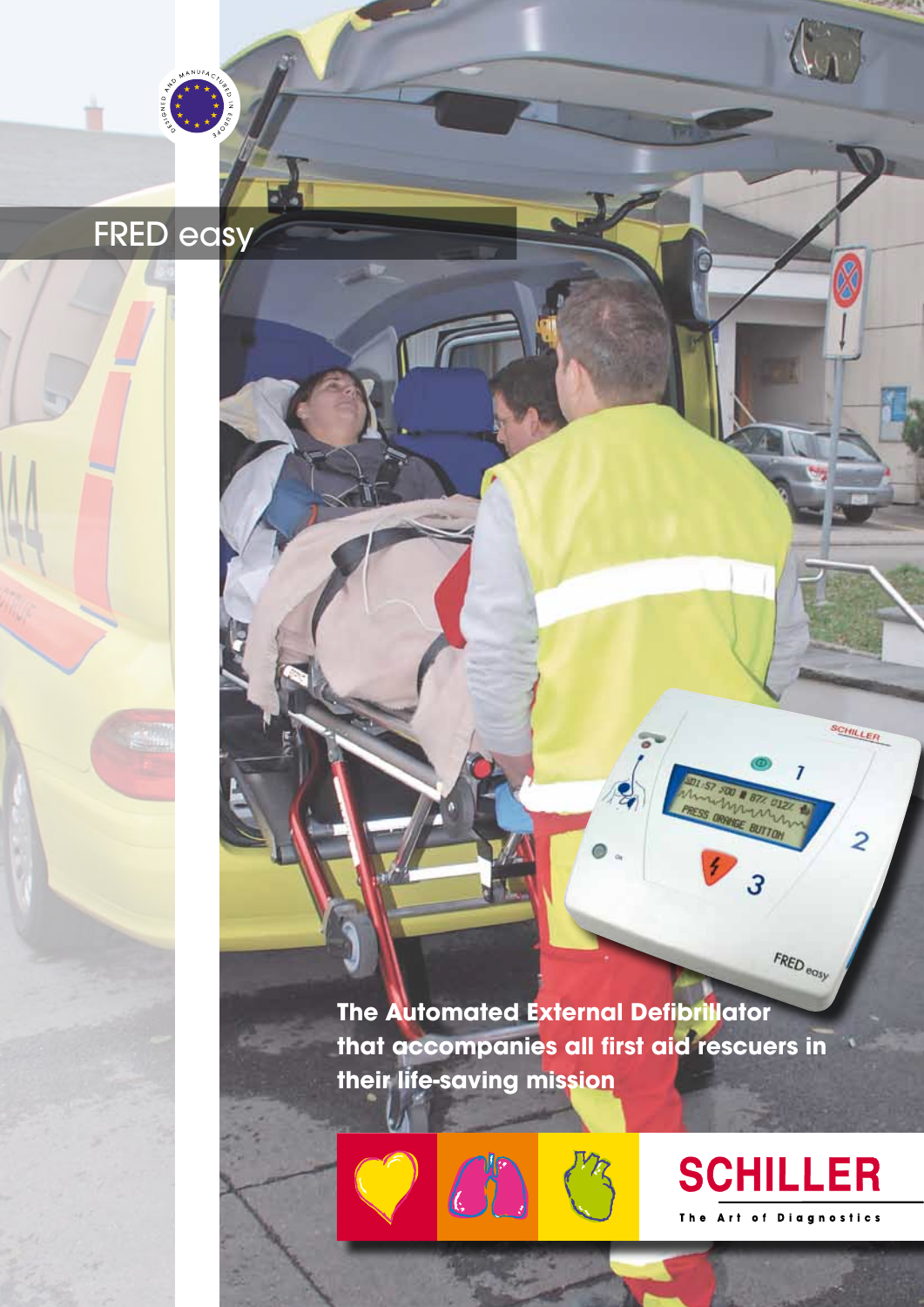**The Automated External Defibrillator that accompanies all first aid rescuers in their life-saving mission**

 $\bar{\mathbf{r}}$ 

LT Book für inhouse-Druck

Extra Light für Offset-Druck

FRED easy

 $\overline{\mathbf{B}}$ 





FRED<sub>eosy</sub>

 $\overline{\cdot}$ 

SCHILLER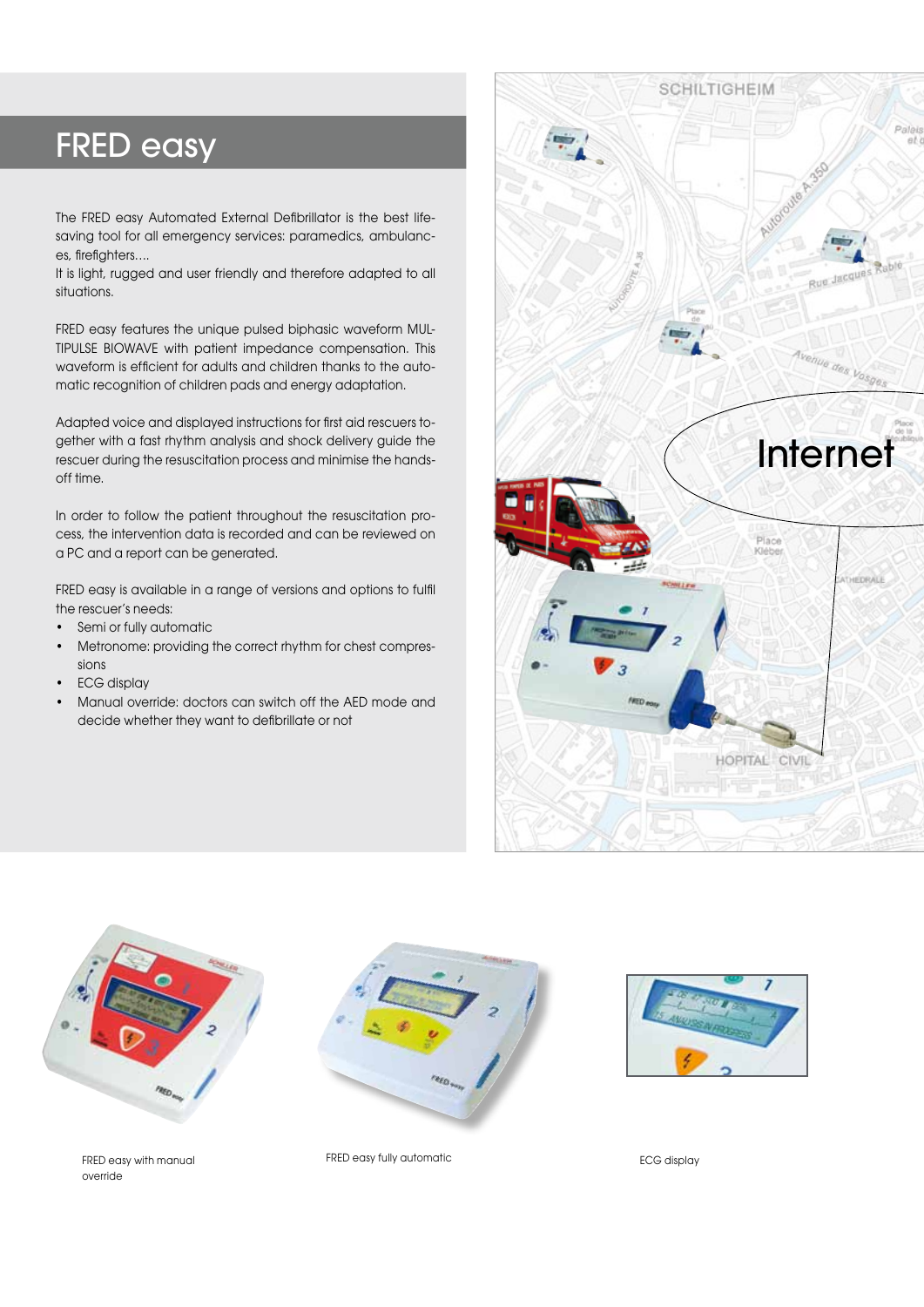# FRED easy

The FRED easy Automated External Defibrillator is the best lifesaving tool for all emergency services: paramedics, ambulances, firefighters….

It is light, rugged and user friendly and therefore adapted to all situations.

FRED easy features the unique pulsed biphasic waveform MUL-TIPULSE BIOWAVE with patient impedance compensation. This waveform is efficient for adults and children thanks to the automatic recognition of children pads and energy adaptation.

Adapted voice and displayed instructions for first aid rescuers together with a fast rhythm analysis and shock delivery guide the rescuer during the resuscitation process and minimise the handsoff time.

In order to follow the patient throughout the resuscitation process, the intervention data is recorded and can be reviewed on a PC and a report can be generated.

FRED easy is available in a range of versions and options to fulfil the rescuer's needs:

- Semi or fully automatic
- Metronome: providing the correct rhythm for chest compressions
- ECG display
- Manual override: doctors can switch off the AED mode and decide whether they want to defibrillate or not





FRED easy with manual override



FRED easy fully automatic extension of the ECG display

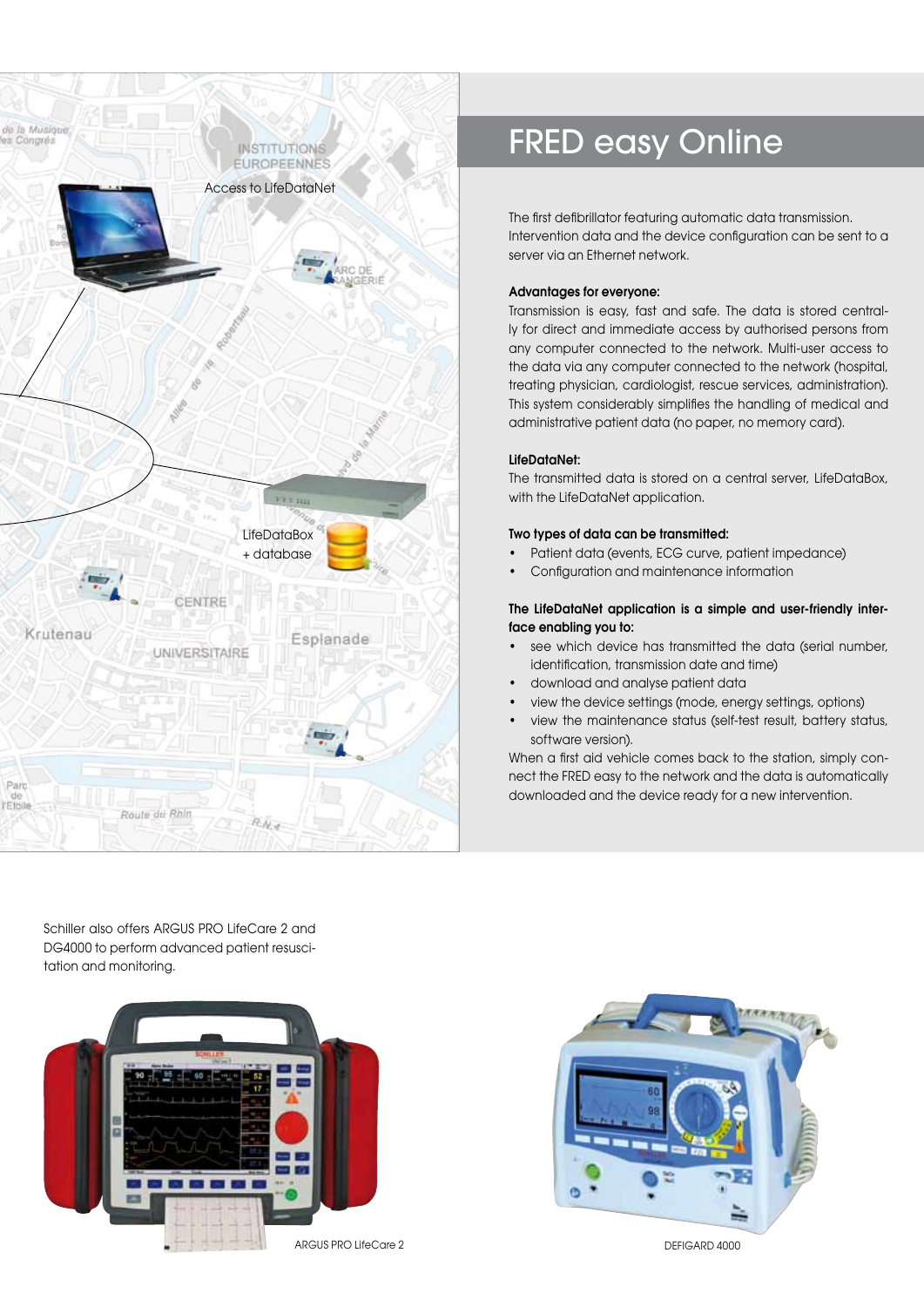

# FRED easy Online

The first defibrillator featuring automatic data transmission. Intervention data and the device configuration can be sent to a server via an Ethernet network.

# Advantages for everyone:

Transmission is easy, fast and safe. The data is stored centrally for direct and immediate access by authorised persons from any computer connected to the network. Multi-user access to the data via any computer connected to the network (hospital, treating physician, cardiologist, rescue services, administration). This system considerably simplifies the handling of medical and administrative patient data (no paper, no memory card).

# LifeDataNet:

The transmitted data is stored on a central server, LifeDataBox, with the LifeDataNet application.

# Two types of data can be transmitted:

- Patient data (events, ECG curve, patient impedance)
- Configuration and maintenance information

# The LifeDataNet application is a simple and user-friendly interface enabling you to:

- see which device has transmitted the data (serial number, identification, transmission date and time)
- download and analyse patient data
- view the device settings (mode, energy settings, options)
- view the maintenance status (self-test result, battery status, software version).

When a first aid vehicle comes back to the station, simply connect the FRED easy to the network and the data is automatically downloaded and the device ready for a new intervention.

Schiller also offers ARGUS PRO LifeCare 2 and DG4000 to perform advanced patient resuscitation and monitoring.